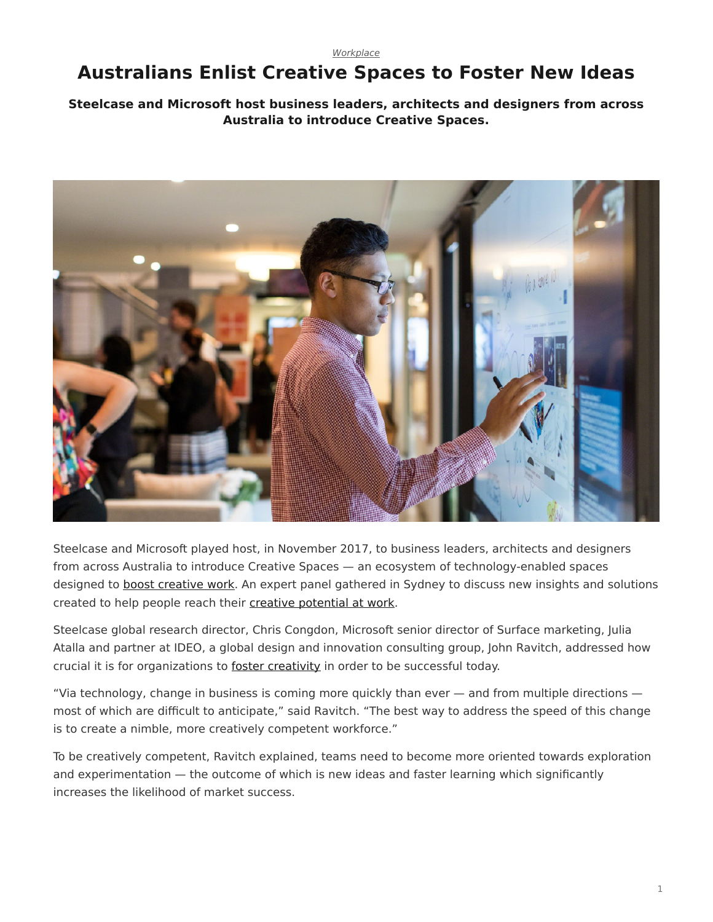## *[Workplace](https://www.steelcase.com/research/topics/workplace/)*

## <span id="page-0-0"></span>**Australians Enlist Creative Spaces to Foster New Ideas**

## **Steelcase and Microsoft host business leaders, architects and designers from across Australia to introduce Creative Spaces.**



Steelcase and Microsoft played host, in November 2017, to business leaders, architects and designers from across Australia to introduce Creative Spaces — an ecosystem of technology-enabled spaces designed to [boost creative work](https://www.steelcase.com/research/articles/topics/creativity/creative-shift/). An expert panel gathered in Sydney to discuss new insights and solutions created to help people reach their [creative potential at work.](https://www.steelcase.com/research/articles/topics/creativity/creative-shift/)

Steelcase global research director, Chris Congdon, Microsoft senior director of Surface marketing, Julia Atalla and partner at IDEO, a global design and innovation consulting group, John Ravitch, addressed how crucial it is for organizations to [foster creativity](https://www.steelcase.com/research/articles/topics/creativity/creative-shift/) in order to be successful today.

"Via technology, change in business is coming more quickly than ever — and from multiple directions most of which are difficult to anticipate," said Ravitch. "The best way to address the speed of this change is to create a nimble, more creatively competent workforce."

To be creatively competent, Ravitch explained, teams need to become more oriented towards exploration and experimentation — the outcome of which is new ideas and faster learning which significantly increases the likelihood of market success.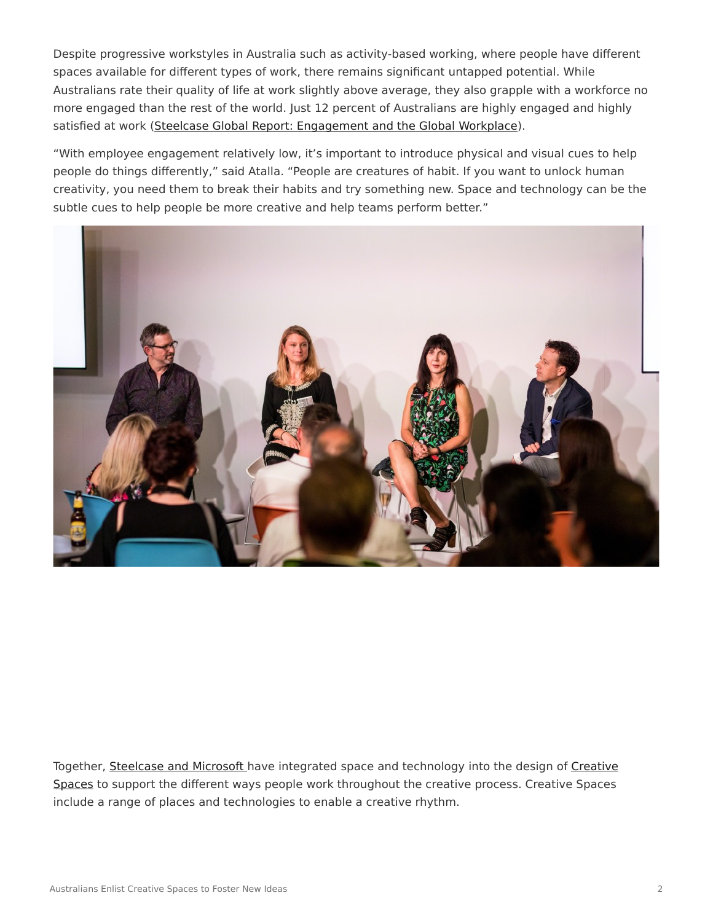Despite progressive workstyles in Australia such as activity-based working, where people have different spaces available for different types of work, there remains significant untapped potential. While Australians rate their quality of life at work slightly above average, they also grapple with a workforce no more engaged than the rest of the world. Just 12 percent of Australians are highly engaged and highly satisfied at work ([Steelcase Global Report: Engagement and the Global Workplace\)](https://www.steelcase.com/steelcase-global-report/).

"With employee engagement relatively low, it's important to introduce physical and visual cues to help people do things differently," said Atalla. "People are creatures of habit. If you want to unlock human creativity, you need them to break their habits and try something new. Space and technology can be the subtle cues to help people be more creative and help teams perform better."



Together, [Steelcase and Microsoft](https://www.steelcase.com/microsoft-steelcase/) have integrated space and technology into the design of [Creative](https://www.steelcase.com/microsoft-steelcase/creativity/) [Spaces](https://www.steelcase.com/microsoft-steelcase/creativity/) to support the different ways people work throughout the creative process. Creative Spaces include a range of places and technologies to enable a creative rhythm.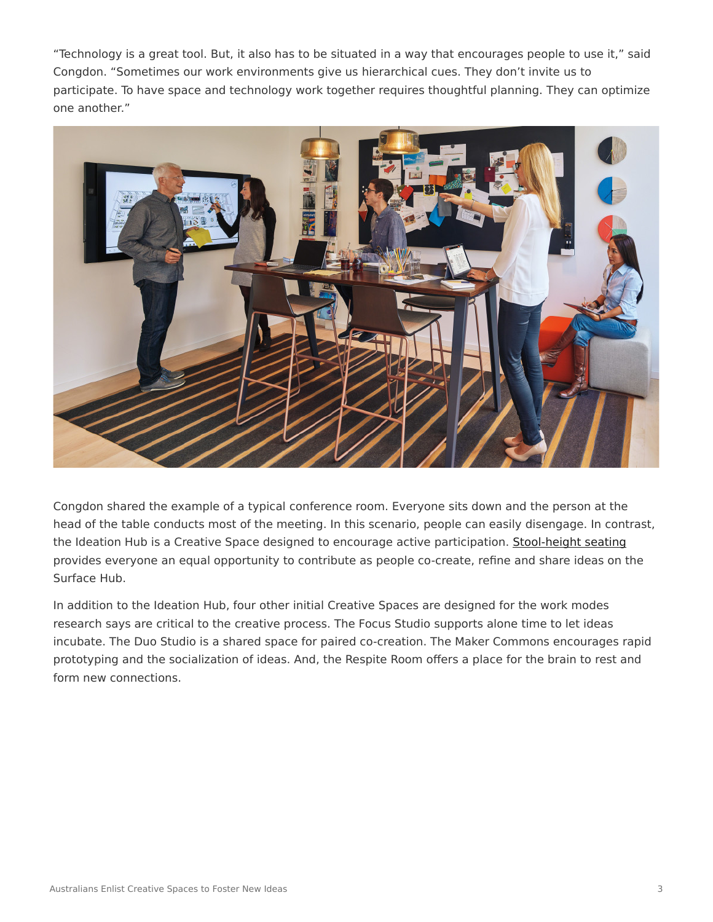"Technology is a great tool. But, it also has to be situated in a way that encourages people to use it," said Congdon. "Sometimes our work environments give us hierarchical cues. They don't invite us to participate. To have space and technology work together requires thoughtful planning. They can optimize one another."



Congdon shared the example of a typical conference room. Everyone sits down and the person at the head of the table conducts most of the meeting. In this scenario, people can easily disengage. In contrast, the Ideation Hub is a Creative Space designed to encourage active participation. [Stool-height seating](https://www.steelcase.com/products/stools/) provides everyone an equal opportunity to contribute as people co-create, refine and share ideas on the Surface Hub.

In addition to the Ideation Hub, four other initial Creative Spaces are designed for the work modes research says are critical to the creative process. The Focus Studio supports alone time to let ideas incubate. The Duo Studio is a shared space for paired co-creation. The Maker Commons encourages rapid prototyping and the socialization of ideas. And, the Respite Room offers a place for the brain to rest and form new connections.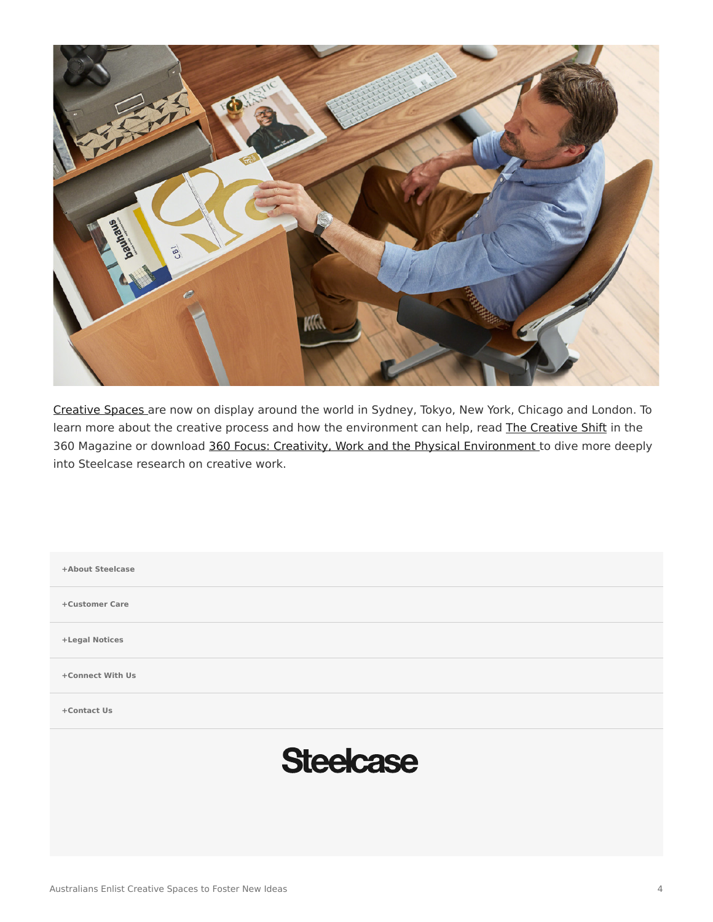

[Creative Spaces](https://www.steelcase.com/microsoft-steelcase/creativity/) are now on display around the world in Sydney, Tokyo, New York, Chicago and London. To learn more about the creative process and how the environment can help, read [The Creative Shift](https://www.steelcase.com/research/articles/topics/creativity/creative-shift/) in the 360 Magazine or download [360 Focus: Creativity, Work and the Physical Environment](https://www.steelcase.com/360-focus-creativity/) to dive more deeply into Steelcase research on creative work.

| +About Steelcase |  |
|------------------|--|
| +Customer Care   |  |
| +Legal Notices   |  |
| +Connect With Us |  |
| +Contact Us      |  |
| <b>Steelcase</b> |  |
|                  |  |